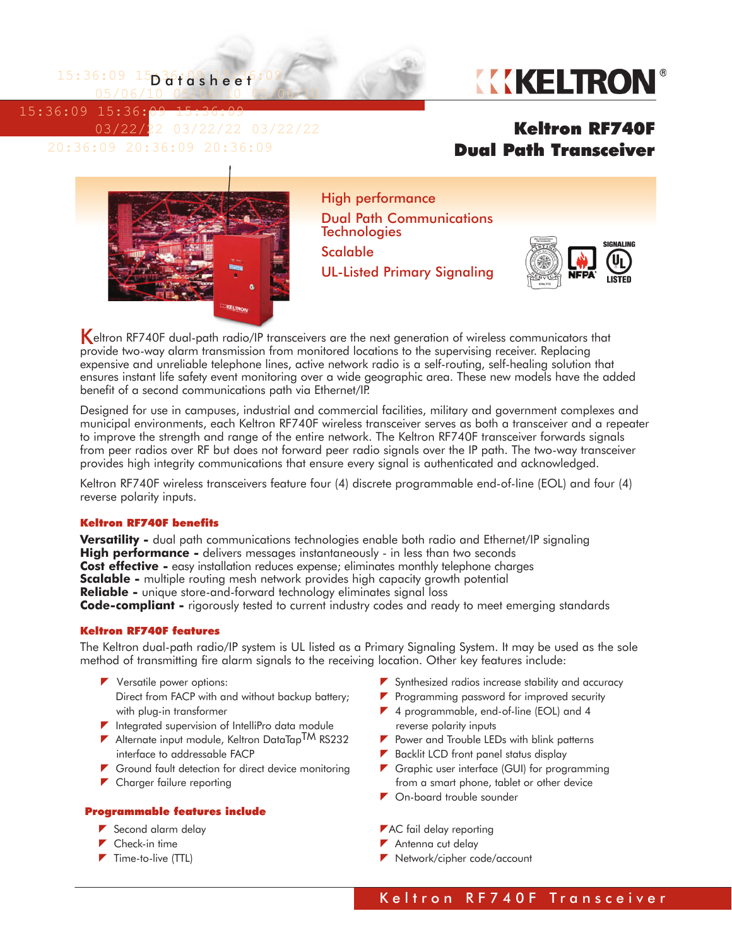$15:36:09$   $15$  $03$ fdsheef:09 05/06/10 05/06/10 05/06/10

15:36:09 15:36:09 15:36:09



 03/22/22 03/22/22 03/22/22 20:36:09 20:36:09 20:36:09

## Keltron RF740F Dual Path Transceiver



High performance Dual Path Communications **Technologies** Scalable UL-Listed Primary Signaling



Keltron RF740F dual-path radio/IP transceivers are the next generation of wireless communicators that provide two-way alarm transmission from monitored locations to the supervising receiver. Replacing expensive and unreliable telephone lines, active network radio is a self-routing, self-healing solution that ensures instant life safety event monitoring over a wide geographic area. These new models have the added benefit of a second communications path via Ethernet/IP.

Designed for use in campuses, industrial and commercial facilities, military and government complexes and municipal environments, each Keltron RF740F wireless transceiver serves as both a transceiver and a repeater to improve the strength and range of the entire network. The Keltron RF740F transceiver forwards signals from peer radios over RF but does not forward peer radio signals over the IP path. The two-way transceiver provides high integrity communications that ensure every signal is authenticated and acknowledged.

Keltron RF740F wireless transceivers feature four (4) discrete programmable end-of-line (EOL) and four (4) reverse polarity inputs.

#### Keltron RF740F benefits

**Versatility -** dual path communications technologies enable both radio and Ethernet/IP signaling **High performance -** delivers messages instantaneously - in less than two seconds **Cost effective -** easy installation reduces expense; eliminates monthly telephone charges **Scalable -** multiple routing mesh network provides high capacity growth potential **Reliable -** unique store-and-forward technology eliminates signal loss **Code-compliant -** rigorously tested to current industry codes and ready to meet emerging standards

#### Keltron RF740F features

The Keltron dual-path radio/IP system is UL listed as a Primary Signaling System. It may be used as the sole method of transmitting fire alarm signals to the receiving location. Other key features include:

- $\blacktriangleright$  Versatile power options: Direct from FACP with and without backup battery; with plug-in transformer
- $\blacktriangleright$  Integrated supervision of IntelliPro data module
- Alternate input module, Keltron DataTap<sup>TM</sup> RS232 interface to addressable FACP
- Ground fault detection for direct device monitoring
- **T** Charger failure reporting

#### Programmable features include

- Second alarm delay
- ▶ Check-in time
- $\blacktriangleright$  Time-to-live (TTL)
- $\blacktriangleright$  Synthesized radios increase stability and accuracy
- Programming password for improved security
- ▼ 4 programmable, end-of-line (EOL) and 4 reverse polarity inputs
- $\blacktriangleright$  Power and Trouble LEDs with blink patterns
- Backlit LCD front panel status display
- Graphic user interface (GUI) for programming from a smart phone, tablet or other device
- ▼ On-board trouble sounder
- **AC** fail delay reporting
- Antenna cut delay
- Network/cipher code/account

Keltron RF740F Transceiver